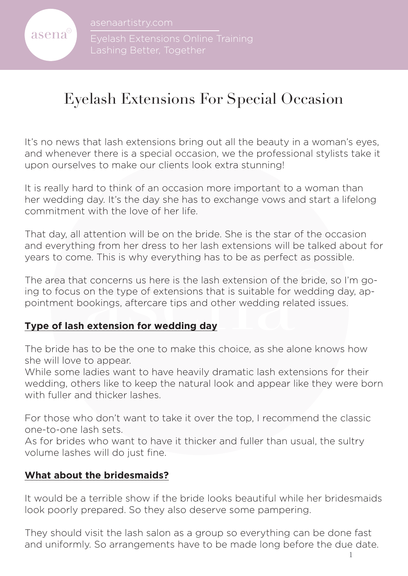

Lashing Better, Together

# Eyelash Extensions For Special Occasion

It's no news that lash extensions bring out all the beauty in a woman's eyes, and whenever there is a special occasion, we the professional stylists take it upon ourselves to make our clients look extra stunning!

It is really hard to think of an occasion more important to a woman than her wedding day. It's the day she has to exchange vows and start a lifelong commitment with the love of her life.

That day, all attention will be on the bride. She is the star of the occasion and everything from her dress to her lash extensions will be talked about for years to come. This is why everything has to be as perfect as possible.

t concerns us here is the lash extension of the bride<br>on the type of extensions that is suitable for weddin<br>ookings, aftercare tips and other wedding related is<br>**extension for wedding day** The area that concerns us here is the lash extension of the bride, so I'm going to focus on the type of extensions that is suitable for wedding day, appointment bookings, aftercare tips and other wedding related issues.

### **Type of lash extension for wedding day**

The bride has to be the one to make this choice, as she alone knows how she will love to appear.

While some ladies want to have heavily dramatic lash extensions for their wedding, others like to keep the natural look and appear like they were born with fuller and thicker lashes.

For those who don't want to take it over the top, I recommend the classic one-to-one lash sets.

As for brides who want to have it thicker and fuller than usual, the sultry volume lashes will do just fine.

### **What about the bridesmaids?**

It would be a terrible show if the bride looks beautiful while her bridesmaids look poorly prepared. So they also deserve some pampering.

They should visit the lash salon as a group so everything can be done fast and uniformly. So arrangements have to be made long before the due date.